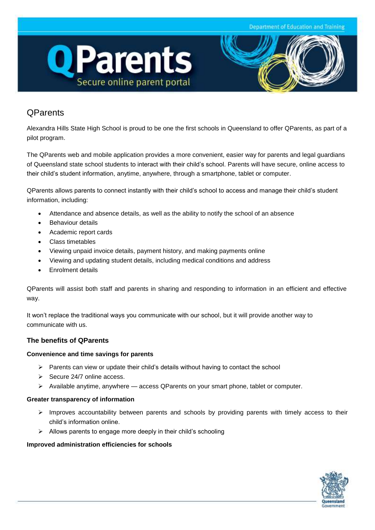



# **QParents**

Alexandra Hills State High School is proud to be one the first schools in Queensland to offer QParents, as part of a pilot program.

The QParents web and mobile application provides a more convenient, easier way for parents and legal guardians of Queensland state school students to interact with their child's school. Parents will have secure, online access to their child's student information, anytime, anywhere, through a smartphone, tablet or computer.

QParents allows parents to connect instantly with their child's school to access and manage their child's student information, including:

- Attendance and absence details, as well as the ability to notify the school of an absence
- Behaviour details
- Academic report cards
- Class timetables
- Viewing unpaid invoice details, payment history, and making payments online
- Viewing and updating student details, including medical conditions and address
- Enrolment details

QParents will assist both staff and parents in sharing and responding to information in an efficient and effective way.

It won't replace the traditional ways you communicate with our school, but it will provide another way to communicate with us.

## **The benefits of QParents**

#### **Convenience and time savings for parents**

- $\triangleright$  Parents can view or update their child's details without having to contact the school
- $\geq$  Secure 24/7 online access.
- $\triangleright$  Available anytime, anywhere access QParents on your smart phone, tablet or computer.

#### **Greater transparency of information**

- $\triangleright$  Improves accountability between parents and schools by providing parents with timely access to their child's information online.
- $\triangleright$  Allows parents to engage more deeply in their child's schooling

#### **Improved administration efficiencies for schools**

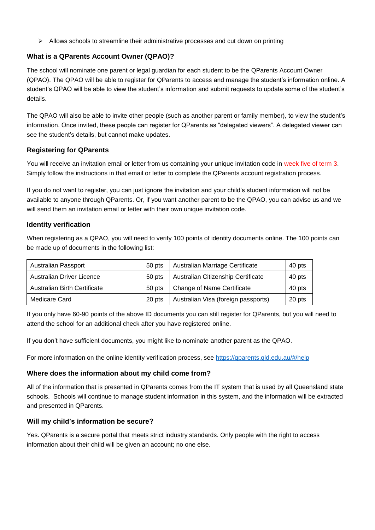$\triangleright$  Allows schools to streamline their administrative processes and cut down on printing

# **What is a QParents Account Owner (QPAO)?**

The school will nominate one parent or legal guardian for each student to be the QParents Account Owner (QPAO). The QPAO will be able to register for QParents to access and manage the student's information online. A student's QPAO will be able to view the student's information and submit requests to update some of the student's details.

The QPAO will also be able to invite other people (such as another parent or family member), to view the student's information. Once invited, these people can register for QParents as "delegated viewers". A delegated viewer can see the student's details, but cannot make updates.

## **Registering for QParents**

You will receive an invitation email or letter from us containing your unique invitation code in week five of term 3. Simply follow the instructions in that email or letter to complete the QParents account registration process.

If you do not want to register, you can just ignore the invitation and your child's student information will not be available to anyone through QParents. Or, if you want another parent to be the QPAO, you can advise us and we will send them an invitation email or letter with their own unique invitation code.

## **Identity verification**

When registering as a QPAO, you will need to verify 100 points of identity documents online. The 100 points can be made up of documents in the following list:

| <b>Australian Passport</b>          | 50 pts | Australian Marriage Certificate     | 40 pts |
|-------------------------------------|--------|-------------------------------------|--------|
| Australian Driver Licence           | 50 pts | Australian Citizenship Certificate  | 40 pts |
| <b>Australian Birth Certificate</b> | 50 pts | Change of Name Certificate          | 40 pts |
| Medicare Card                       | 20 pts | Australian Visa (foreign passports) | 20 pts |

If you only have 60-90 points of the above ID documents you can still register for QParents, but you will need to attend the school for an additional check after you have registered online.

If you don't have sufficient documents, you might like to nominate another parent as the QPAO.

For more information on the online identity verification process, see<https://qparents.qld.edu.au/#/help>

## **Where does the information about my child come from?**

All of the information that is presented in QParents comes from the IT system that is used by all Queensland state schools. Schools will continue to manage student information in this system, and the information will be extracted and presented in QParents.

## **Will my child's information be secure?**

Yes. QParents is a secure portal that meets strict industry standards. Only people with the right to access information about their child will be given an account; no one else.